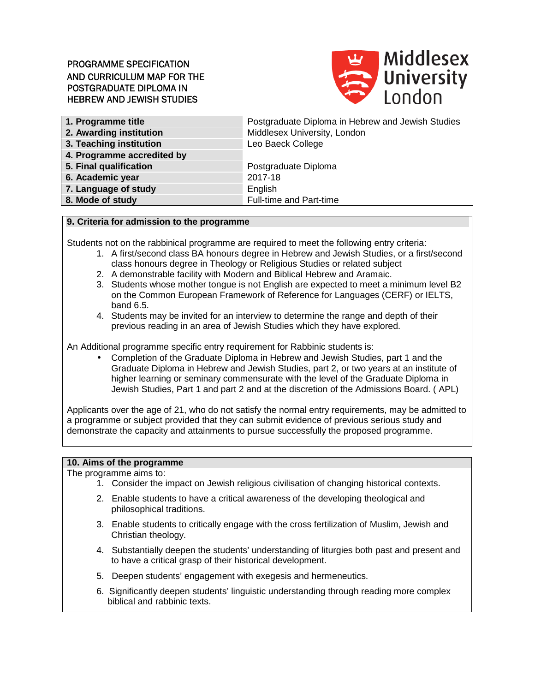# PROGRAMME SPECIFICATION AND CURRICULUM MAP FOR THE POSTGRADUATE DIPLOMA IN HEBREW AND JEWISH STUDIES



| Postgraduate Diploma in Hebrew and Jewish Studies |
|---------------------------------------------------|
| Middlesex University, London                      |
| Leo Baeck College                                 |
|                                                   |
| Postgraduate Diploma                              |
| 2017-18                                           |
| English                                           |
| Full-time and Part-time                           |
|                                                   |

#### **9. Criteria for admission to the programme**

Students not on the rabbinical programme are required to meet the following entry criteria:

- 1. A first/second class BA honours degree in Hebrew and Jewish Studies, or a first/second class honours degree in Theology or Religious Studies or related subject
- 2. A demonstrable facility with Modern and Biblical Hebrew and Aramaic.
- 3. Students whose mother tongue is not English are expected to meet a minimum level B2 on the Common European Framework of Reference for Languages (CERF) or IELTS, band 6.5.
- 4. Students may be invited for an interview to determine the range and depth of their previous reading in an area of Jewish Studies which they have explored.

An Additional programme specific entry requirement for Rabbinic students is:

• Completion of the Graduate Diploma in Hebrew and Jewish Studies, part 1 and the Graduate Diploma in Hebrew and Jewish Studies, part 2, or two years at an institute of higher learning or seminary commensurate with the level of the Graduate Diploma in Jewish Studies, Part 1 and part 2 and at the discretion of the Admissions Board. ( APL)

Applicants over the age of 21, who do not satisfy the normal entry requirements, may be admitted to a programme or subject provided that they can submit evidence of previous serious study and demonstrate the capacity and attainments to pursue successfully the proposed programme.

#### **10. Aims of the programme**

The programme aims to:

- 1. Consider the impact on Jewish religious civilisation of changing historical contexts.
- 2. Enable students to have a critical awareness of the developing theological and philosophical traditions.
- 3. Enable students to critically engage with the cross fertilization of Muslim, Jewish and Christian theology.
- 4. Substantially deepen the students' understanding of liturgies both past and present and to have a critical grasp of their historical development.
- 5. Deepen students' engagement with exegesis and hermeneutics.
- 6. Significantly deepen students' linguistic understanding through reading more complex biblical and rabbinic texts.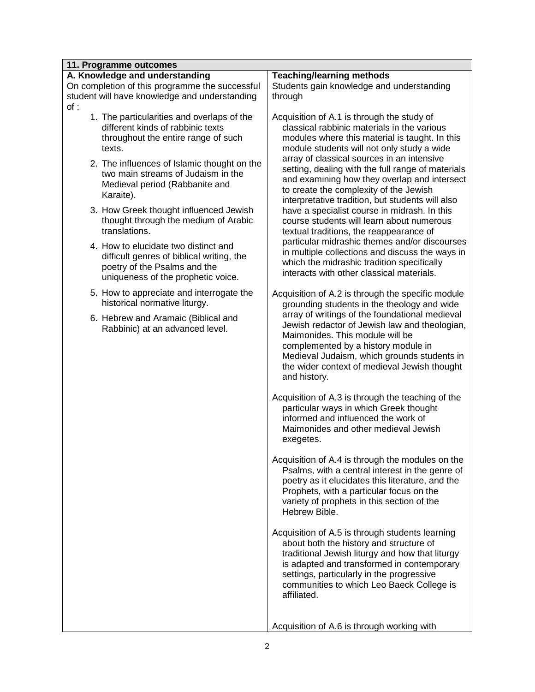| 11. Programme outcomes                                                                                                                                  |                                                                                                                                                                                                                                                                                                      |  |  |  |  |  |  |  |  |  |  |  |
|---------------------------------------------------------------------------------------------------------------------------------------------------------|------------------------------------------------------------------------------------------------------------------------------------------------------------------------------------------------------------------------------------------------------------------------------------------------------|--|--|--|--|--|--|--|--|--|--|--|
| A. Knowledge and understanding                                                                                                                          | <b>Teaching/learning methods</b>                                                                                                                                                                                                                                                                     |  |  |  |  |  |  |  |  |  |  |  |
| On completion of this programme the successful                                                                                                          | Students gain knowledge and understanding                                                                                                                                                                                                                                                            |  |  |  |  |  |  |  |  |  |  |  |
| student will have knowledge and understanding                                                                                                           | through                                                                                                                                                                                                                                                                                              |  |  |  |  |  |  |  |  |  |  |  |
| of:                                                                                                                                                     |                                                                                                                                                                                                                                                                                                      |  |  |  |  |  |  |  |  |  |  |  |
| 1. The particularities and overlaps of the<br>different kinds of rabbinic texts<br>throughout the entire range of such<br>texts.                        | Acquisition of A.1 is through the study of<br>classical rabbinic materials in the various<br>modules where this material is taught. In this<br>module students will not only study a wide                                                                                                            |  |  |  |  |  |  |  |  |  |  |  |
| 2. The influences of Islamic thought on the<br>two main streams of Judaism in the<br>Medieval period (Rabbanite and<br>Karaite).                        | array of classical sources in an intensive<br>setting, dealing with the full range of materials<br>and examining how they overlap and intersect<br>to create the complexity of the Jewish<br>interpretative tradition, but students will also                                                        |  |  |  |  |  |  |  |  |  |  |  |
| 3. How Greek thought influenced Jewish<br>thought through the medium of Arabic<br>translations.                                                         | have a specialist course in midrash. In this<br>course students will learn about numerous<br>textual traditions, the reappearance of                                                                                                                                                                 |  |  |  |  |  |  |  |  |  |  |  |
| 4. How to elucidate two distinct and<br>difficult genres of biblical writing, the<br>poetry of the Psalms and the<br>uniqueness of the prophetic voice. | particular midrashic themes and/or discourses<br>in multiple collections and discuss the ways in<br>which the midrashic tradition specifically<br>interacts with other classical materials.                                                                                                          |  |  |  |  |  |  |  |  |  |  |  |
| 5. How to appreciate and interrogate the<br>historical normative liturgy.                                                                               | Acquisition of A.2 is through the specific module<br>grounding students in the theology and wide                                                                                                                                                                                                     |  |  |  |  |  |  |  |  |  |  |  |
| 6. Hebrew and Aramaic (Biblical and<br>Rabbinic) at an advanced level.                                                                                  | array of writings of the foundational medieval<br>Jewish redactor of Jewish law and theologian,<br>Maimonides. This module will be<br>complemented by a history module in<br>Medieval Judaism, which grounds students in<br>the wider context of medieval Jewish thought<br>and history.             |  |  |  |  |  |  |  |  |  |  |  |
|                                                                                                                                                         | Acquisition of A.3 is through the teaching of the<br>particular ways in which Greek thought<br>informed and influenced the work of<br>Maimonides and other medieval Jewish<br>exegetes.                                                                                                              |  |  |  |  |  |  |  |  |  |  |  |
|                                                                                                                                                         | Acquisition of A.4 is through the modules on the<br>Psalms, with a central interest in the genre of<br>poetry as it elucidates this literature, and the<br>Prophets, with a particular focus on the<br>variety of prophets in this section of the<br>Hebrew Bible.                                   |  |  |  |  |  |  |  |  |  |  |  |
|                                                                                                                                                         | Acquisition of A.5 is through students learning<br>about both the history and structure of<br>traditional Jewish liturgy and how that liturgy<br>is adapted and transformed in contemporary<br>settings, particularly in the progressive<br>communities to which Leo Baeck College is<br>affiliated. |  |  |  |  |  |  |  |  |  |  |  |
|                                                                                                                                                         | Acquisition of A.6 is through working with                                                                                                                                                                                                                                                           |  |  |  |  |  |  |  |  |  |  |  |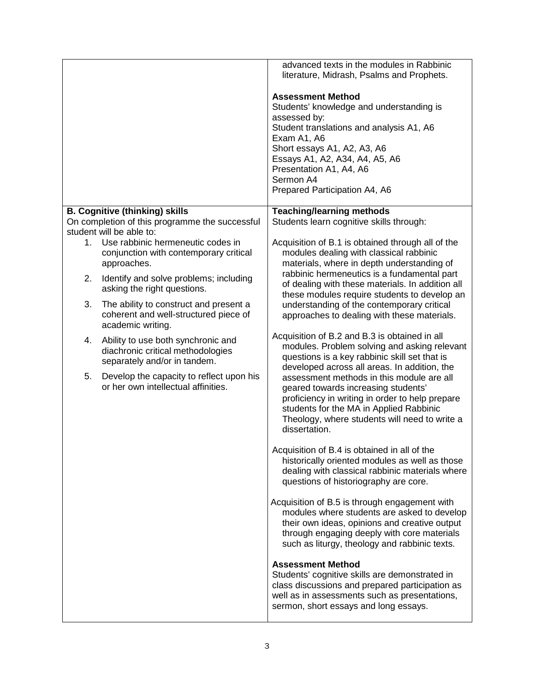|    |                                                                                                                        | advanced texts in the modules in Rabbinic<br>literature, Midrash, Psalms and Prophets.<br><b>Assessment Method</b><br>Students' knowledge and understanding is<br>assessed by:<br>Student translations and analysis A1, A6<br>Exam A1, A6<br>Short essays A1, A2, A3, A6<br>Essays A1, A2, A34, A4, A5, A6<br>Presentation A1, A4, A6<br>Sermon A4<br>Prepared Participation A4, A6 |
|----|------------------------------------------------------------------------------------------------------------------------|-------------------------------------------------------------------------------------------------------------------------------------------------------------------------------------------------------------------------------------------------------------------------------------------------------------------------------------------------------------------------------------|
|    | <b>B. Cognitive (thinking) skills</b>                                                                                  | <b>Teaching/learning methods</b>                                                                                                                                                                                                                                                                                                                                                    |
|    | On completion of this programme the successful                                                                         | Students learn cognitive skills through:                                                                                                                                                                                                                                                                                                                                            |
| 1. | student will be able to:<br>Use rabbinic hermeneutic codes in<br>conjunction with contemporary critical<br>approaches. | Acquisition of B.1 is obtained through all of the<br>modules dealing with classical rabbinic<br>materials, where in depth understanding of                                                                                                                                                                                                                                          |
| 2. | Identify and solve problems; including<br>asking the right questions.                                                  | rabbinic hermeneutics is a fundamental part<br>of dealing with these materials. In addition all<br>these modules require students to develop an                                                                                                                                                                                                                                     |
| 3. | The ability to construct and present a<br>coherent and well-structured piece of<br>academic writing.                   | understanding of the contemporary critical<br>approaches to dealing with these materials.                                                                                                                                                                                                                                                                                           |
| 4. | Ability to use both synchronic and<br>diachronic critical methodologies<br>separately and/or in tandem.                | Acquisition of B.2 and B.3 is obtained in all<br>modules. Problem solving and asking relevant<br>questions is a key rabbinic skill set that is<br>developed across all areas. In addition, the                                                                                                                                                                                      |
| 5. | Develop the capacity to reflect upon his<br>or her own intellectual affinities.                                        | assessment methods in this module are all<br>geared towards increasing students'<br>proficiency in writing in order to help prepare<br>students for the MA in Applied Rabbinic<br>Theology, where students will need to write a<br>dissertation.                                                                                                                                    |
|    |                                                                                                                        | Acquisition of B.4 is obtained in all of the<br>historically oriented modules as well as those<br>dealing with classical rabbinic materials where<br>questions of historiography are core.                                                                                                                                                                                          |
|    |                                                                                                                        | Acquisition of B.5 is through engagement with<br>modules where students are asked to develop<br>their own ideas, opinions and creative output<br>through engaging deeply with core materials<br>such as liturgy, theology and rabbinic texts.                                                                                                                                       |
|    |                                                                                                                        | <b>Assessment Method</b><br>Students' cognitive skills are demonstrated in<br>class discussions and prepared participation as<br>well as in assessments such as presentations,<br>sermon, short essays and long essays.                                                                                                                                                             |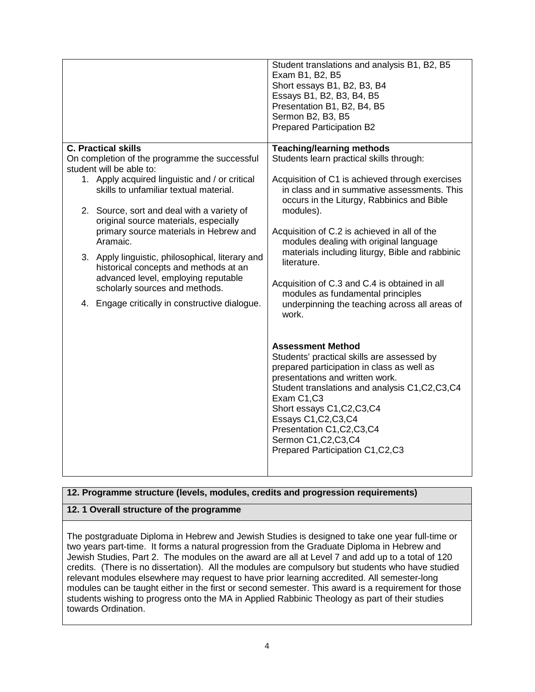|                                                                                          | Student translations and analysis B1, B2, B5<br>Exam B1, B2, B5<br>Short essays B1, B2, B3, B4<br>Essays B1, B2, B3, B4, B5<br>Presentation B1, B2, B4, B5<br>Sermon B2, B3, B5<br><b>Prepared Participation B2</b> |
|------------------------------------------------------------------------------------------|---------------------------------------------------------------------------------------------------------------------------------------------------------------------------------------------------------------------|
| <b>C. Practical skills</b>                                                               | <b>Teaching/learning methods</b>                                                                                                                                                                                    |
| On completion of the programme the successful                                            | Students learn practical skills through:                                                                                                                                                                            |
| student will be able to:                                                                 |                                                                                                                                                                                                                     |
| 1. Apply acquired linguistic and / or critical<br>skills to unfamiliar textual material. | Acquisition of C1 is achieved through exercises<br>in class and in summative assessments. This<br>occurs in the Liturgy, Rabbinics and Bible                                                                        |
| 2. Source, sort and deal with a variety of                                               | modules).                                                                                                                                                                                                           |
| original source materials, especially                                                    |                                                                                                                                                                                                                     |
| primary source materials in Hebrew and                                                   | Acquisition of C.2 is achieved in all of the                                                                                                                                                                        |
| Aramaic.                                                                                 | modules dealing with original language<br>materials including liturgy, Bible and rabbinic                                                                                                                           |
| 3. Apply linguistic, philosophical, literary and                                         | literature.                                                                                                                                                                                                         |
| historical concepts and methods at an<br>advanced level, employing reputable             |                                                                                                                                                                                                                     |
| scholarly sources and methods.                                                           | Acquisition of C.3 and C.4 is obtained in all                                                                                                                                                                       |
|                                                                                          | modules as fundamental principles                                                                                                                                                                                   |
| 4. Engage critically in constructive dialogue.                                           | underpinning the teaching across all areas of<br>work.                                                                                                                                                              |
|                                                                                          |                                                                                                                                                                                                                     |
|                                                                                          |                                                                                                                                                                                                                     |
|                                                                                          | <b>Assessment Method</b>                                                                                                                                                                                            |
|                                                                                          | Students' practical skills are assessed by                                                                                                                                                                          |
|                                                                                          | prepared participation in class as well as<br>presentations and written work.                                                                                                                                       |
|                                                                                          | Student translations and analysis C1, C2, C3, C4                                                                                                                                                                    |
|                                                                                          | Exam C1,C3                                                                                                                                                                                                          |
|                                                                                          | Short essays C1, C2, C3, C4                                                                                                                                                                                         |
|                                                                                          | Essays C1, C2, C3, C4                                                                                                                                                                                               |
|                                                                                          | Presentation C1, C2, C3, C4<br>Sermon C1, C2, C3, C4                                                                                                                                                                |
|                                                                                          | Prepared Participation C1, C2, C3                                                                                                                                                                                   |
|                                                                                          |                                                                                                                                                                                                                     |
|                                                                                          |                                                                                                                                                                                                                     |

# **12. Programme structure (levels, modules, credits and progression requirements)**

#### **12. 1 Overall structure of the programme**

The postgraduate Diploma in Hebrew and Jewish Studies is designed to take one year full-time or two years part-time. It forms a natural progression from the Graduate Diploma in Hebrew and Jewish Studies, Part 2. The modules on the award are all at Level 7 and add up to a total of 120 credits. (There is no dissertation). All the modules are compulsory but students who have studied relevant modules elsewhere may request to have prior learning accredited. All semester-long modules can be taught either in the first or second semester. This award is a requirement for those students wishing to progress onto the MA in Applied Rabbinic Theology as part of their studies towards Ordination.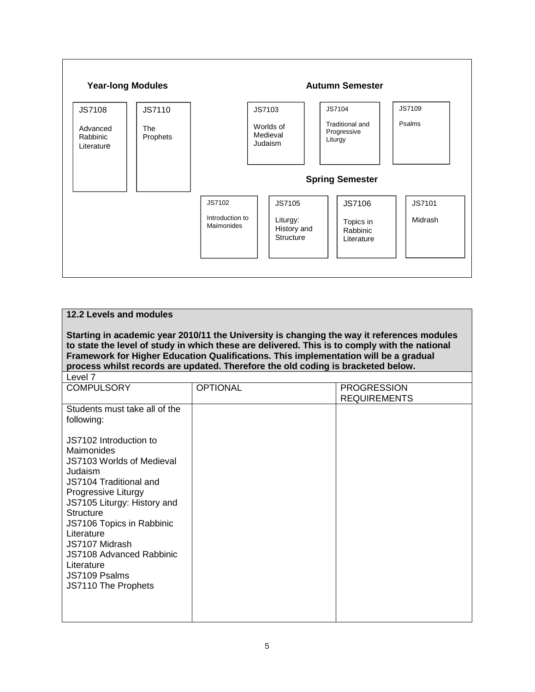

| 12.2 Levels and modules                                                                                                                                                                                                                                                                                                                                                 |                 |                                           |  |  |  |  |  |  |  |  |  |  |  |  |
|-------------------------------------------------------------------------------------------------------------------------------------------------------------------------------------------------------------------------------------------------------------------------------------------------------------------------------------------------------------------------|-----------------|-------------------------------------------|--|--|--|--|--|--|--|--|--|--|--|--|
| Starting in academic year 2010/11 the University is changing the way it references modules<br>to state the level of study in which these are delivered. This is to comply with the national<br>Framework for Higher Education Qualifications. This implementation will be a gradual<br>process whilst records are updated. Therefore the old coding is bracketed below. |                 |                                           |  |  |  |  |  |  |  |  |  |  |  |  |
| Level 7                                                                                                                                                                                                                                                                                                                                                                 |                 |                                           |  |  |  |  |  |  |  |  |  |  |  |  |
| <b>COMPULSORY</b>                                                                                                                                                                                                                                                                                                                                                       | <b>OPTIONAL</b> | <b>PROGRESSION</b><br><b>REQUIREMENTS</b> |  |  |  |  |  |  |  |  |  |  |  |  |
| Students must take all of the<br>following:                                                                                                                                                                                                                                                                                                                             |                 |                                           |  |  |  |  |  |  |  |  |  |  |  |  |
| JS7102 Introduction to<br><b>Maimonides</b><br>JS7103 Worlds of Medieval<br>Judaism<br>JS7104 Traditional and<br>Progressive Liturgy<br>JS7105 Liturgy: History and<br><b>Structure</b><br>JS7106 Topics in Rabbinic<br>Literature<br>JS7107 Midrash<br><b>JS7108 Advanced Rabbinic</b><br>Literature<br>JS7109 Psalms<br>JS7110 The Prophets                           |                 |                                           |  |  |  |  |  |  |  |  |  |  |  |  |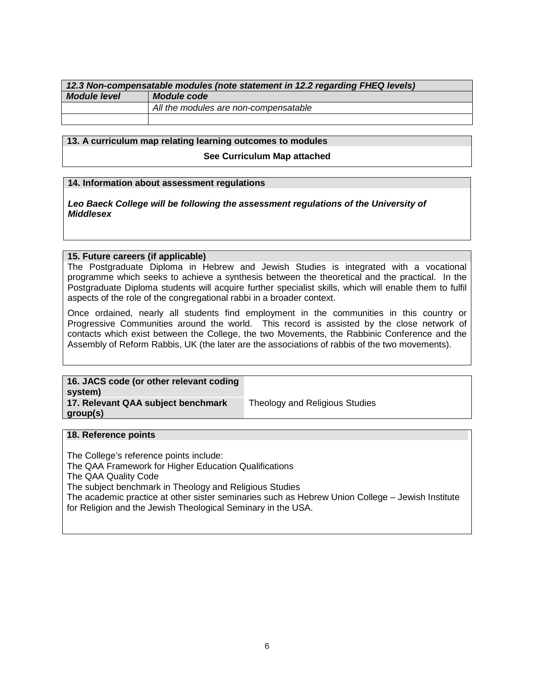| 12.3 Non-compensatable modules (note statement in 12.2 regarding FHEQ levels) |                                       |  |  |  |  |  |  |  |  |  |  |
|-------------------------------------------------------------------------------|---------------------------------------|--|--|--|--|--|--|--|--|--|--|
| <b>Module level</b>                                                           | Module code                           |  |  |  |  |  |  |  |  |  |  |
|                                                                               | All the modules are non-compensatable |  |  |  |  |  |  |  |  |  |  |
|                                                                               |                                       |  |  |  |  |  |  |  |  |  |  |

# **13. A curriculum map relating learning outcomes to modules**

**See Curriculum Map attached** 

#### **14. Information about assessment regulations**

**Leo Baeck College will be following the assessment regulations of the University of Middlesex** 

#### **15. Future careers (if applicable)**

The Postgraduate Diploma in Hebrew and Jewish Studies is integrated with a vocational programme which seeks to achieve a synthesis between the theoretical and the practical. In the Postgraduate Diploma students will acquire further specialist skills, which will enable them to fulfil aspects of the role of the congregational rabbi in a broader context.

Once ordained, nearly all students find employment in the communities in this country or Progressive Communities around the world. This record is assisted by the close network of contacts which exist between the College, the two Movements, the Rabbinic Conference and the Assembly of Reform Rabbis, UK (the later are the associations of rabbis of the two movements).

| 16. JACS code (or other relevant coding<br>system) |                                |
|----------------------------------------------------|--------------------------------|
| 17. Relevant QAA subject benchmark<br>group(s)     | Theology and Religious Studies |

#### **18. Reference points**

The College's reference points include: The QAA Framework for Higher Education Qualifications The QAA Quality Code The subject benchmark in Theology and Religious Studies The academic practice at other sister seminaries such as Hebrew Union College – Jewish Institute for Religion and the Jewish Theological Seminary in the USA.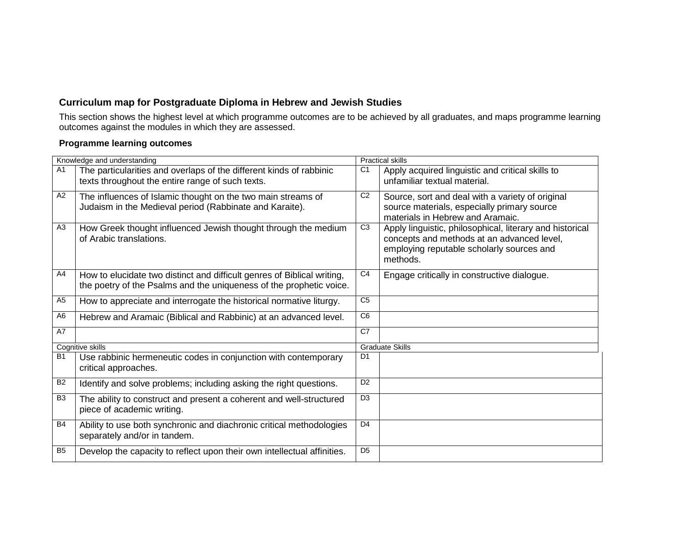# **Curriculum map for Postgraduate Diploma in Hebrew and Jewish Studies**

 This section shows the highest level at which programme outcomes are to be achieved by all graduates, and maps programme learning outcomes against the modules in which they are assessed.

# **Programme learning outcomes**

|                | Knowledge and understanding                                                                                                                    |                | <b>Practical skills</b>                                                                                                                                         |
|----------------|------------------------------------------------------------------------------------------------------------------------------------------------|----------------|-----------------------------------------------------------------------------------------------------------------------------------------------------------------|
| A <sub>1</sub> | The particularities and overlaps of the different kinds of rabbinic<br>texts throughout the entire range of such texts.                        | C <sub>1</sub> | Apply acquired linguistic and critical skills to<br>unfamiliar textual material.                                                                                |
| A <sub>2</sub> | The influences of Islamic thought on the two main streams of<br>Judaism in the Medieval period (Rabbinate and Karaite).                        | C <sub>2</sub> | Source, sort and deal with a variety of original<br>source materials, especially primary source<br>materials in Hebrew and Aramaic.                             |
| A <sub>3</sub> | How Greek thought influenced Jewish thought through the medium<br>of Arabic translations.                                                      | C <sub>3</sub> | Apply linguistic, philosophical, literary and historical<br>concepts and methods at an advanced level,<br>employing reputable scholarly sources and<br>methods. |
| A4             | How to elucidate two distinct and difficult genres of Biblical writing,<br>the poetry of the Psalms and the uniqueness of the prophetic voice. | C <sub>4</sub> | Engage critically in constructive dialogue.                                                                                                                     |
| A <sub>5</sub> | How to appreciate and interrogate the historical normative liturgy.                                                                            | C <sub>5</sub> |                                                                                                                                                                 |
| A6             | Hebrew and Aramaic (Biblical and Rabbinic) at an advanced level.                                                                               | C <sub>6</sub> |                                                                                                                                                                 |
| A7             |                                                                                                                                                | C7             |                                                                                                                                                                 |
|                | Cognitive skills                                                                                                                               |                | <b>Graduate Skills</b>                                                                                                                                          |
| <b>B1</b>      | Use rabbinic hermeneutic codes in conjunction with contemporary<br>critical approaches.                                                        | D <sub>1</sub> |                                                                                                                                                                 |
| <b>B2</b>      | Identify and solve problems; including asking the right questions.                                                                             | D <sub>2</sub> |                                                                                                                                                                 |
| B <sub>3</sub> | The ability to construct and present a coherent and well-structured<br>piece of academic writing.                                              | D <sub>3</sub> |                                                                                                                                                                 |
| <b>B4</b>      | Ability to use both synchronic and diachronic critical methodologies<br>separately and/or in tandem.                                           | D <sub>4</sub> |                                                                                                                                                                 |
| B <sub>5</sub> | Develop the capacity to reflect upon their own intellectual affinities.                                                                        | D <sub>5</sub> |                                                                                                                                                                 |